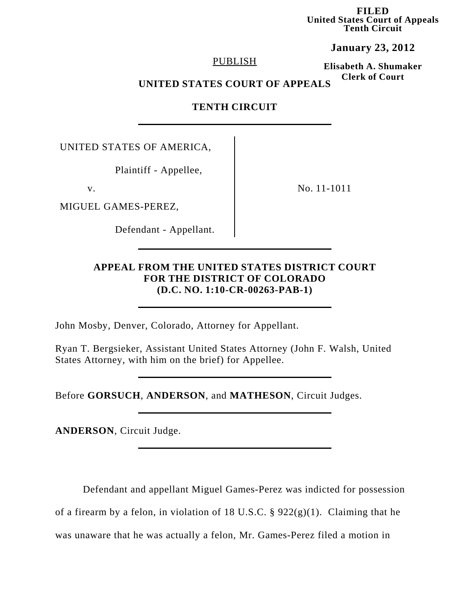**FILED United States Court of Appeals Tenth Circuit**

**January 23, 2012**

### PUBLISH

**Elisabeth A. Shumaker Clerk of Court**

# **UNITED STATES COURT OF APPEALS**

**TENTH CIRCUIT**

UNITED STATES OF AMERICA,

Plaintiff - Appellee,

MIGUEL GAMES-PEREZ,

Defendant - Appellant.

v. No. 11-1011

# **APPEAL FROM THE UNITED STATES DISTRICT COURT FOR THE DISTRICT OF COLORADO (D.C. NO. 1:10-CR-00263-PAB-1)**

John Mosby, Denver, Colorado, Attorney for Appellant.

Ryan T. Bergsieker, Assistant United States Attorney (John F. Walsh, United States Attorney, with him on the brief) for Appellee.

Before **GORSUCH**, **ANDERSON**, and **MATHESON**, Circuit Judges.

**ANDERSON**, Circuit Judge.

Defendant and appellant Miguel Games-Perez was indicted for possession

of a firearm by a felon, in violation of 18 U.S.C.  $\S$  922(g)(1). Claiming that he

was unaware that he was actually a felon, Mr. Games-Perez filed a motion in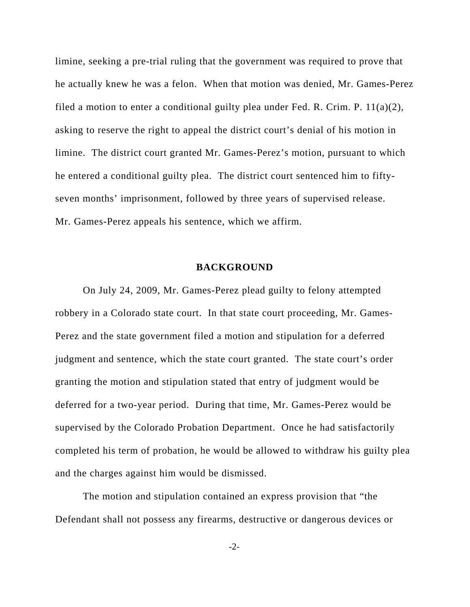limine, seeking a pre-trial ruling that the government was required to prove that he actually knew he was a felon. When that motion was denied, Mr. Games-Perez filed a motion to enter a conditional guilty plea under Fed. R. Crim. P.  $11(a)(2)$ , asking to reserve the right to appeal the district court's denial of his motion in limine. The district court granted Mr. Games-Perez's motion, pursuant to which he entered a conditional guilty plea. The district court sentenced him to fiftyseven months' imprisonment, followed by three years of supervised release. Mr. Games-Perez appeals his sentence, which we affirm.

#### **BACKGROUND**

On July 24, 2009, Mr. Games-Perez plead guilty to felony attempted robbery in a Colorado state court. In that state court proceeding, Mr. Games-Perez and the state government filed a motion and stipulation for a deferred judgment and sentence, which the state court granted. The state court's order granting the motion and stipulation stated that entry of judgment would be deferred for a two-year period. During that time, Mr. Games-Perez would be supervised by the Colorado Probation Department. Once he had satisfactorily completed his term of probation, he would be allowed to withdraw his guilty plea and the charges against him would be dismissed.

The motion and stipulation contained an express provision that "the Defendant shall not possess any firearms, destructive or dangerous devices or

-2-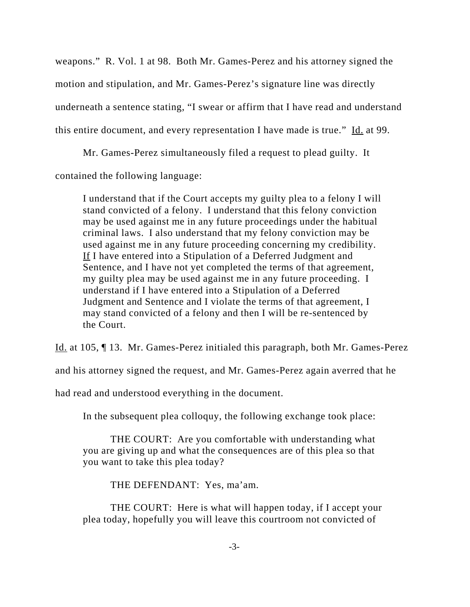weapons." R. Vol. 1 at 98. Both Mr. Games-Perez and his attorney signed the motion and stipulation, and Mr. Games-Perez's signature line was directly underneath a sentence stating, "I swear or affirm that I have read and understand this entire document, and every representation I have made is true."  $\underline{Id}$  at 99.

Mr. Games-Perez simultaneously filed a request to plead guilty. It

contained the following language:

I understand that if the Court accepts my guilty plea to a felony I will stand convicted of a felony. I understand that this felony conviction may be used against me in any future proceedings under the habitual criminal laws. I also understand that my felony conviction may be used against me in any future proceeding concerning my credibility. If I have entered into a Stipulation of a Deferred Judgment and Sentence, and I have not yet completed the terms of that agreement, my guilty plea may be used against me in any future proceeding. I understand if I have entered into a Stipulation of a Deferred Judgment and Sentence and I violate the terms of that agreement, I may stand convicted of a felony and then I will be re-sentenced by the Court.

Id. at 105, ¶ 13. Mr. Games-Perez initialed this paragraph, both Mr. Games-Perez

and his attorney signed the request, and Mr. Games-Perez again averred that he

had read and understood everything in the document.

In the subsequent plea colloquy, the following exchange took place:

THE COURT: Are you comfortable with understanding what you are giving up and what the consequences are of this plea so that you want to take this plea today?

THE DEFENDANT: Yes, ma'am.

THE COURT: Here is what will happen today, if I accept your plea today, hopefully you will leave this courtroom not convicted of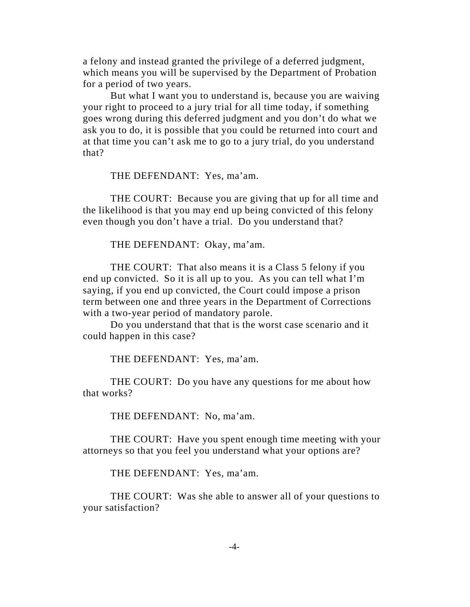a felony and instead granted the privilege of a deferred judgment, which means you will be supervised by the Department of Probation for a period of two years.

But what I want you to understand is, because you are waiving your right to proceed to a jury trial for all time today, if something goes wrong during this deferred judgment and you don't do what we ask you to do, it is possible that you could be returned into court and at that time you can't ask me to go to a jury trial, do you understand that?

THE DEFENDANT: Yes, ma'am.

THE COURT: Because you are giving that up for all time and the likelihood is that you may end up being convicted of this felony even though you don't have a trial. Do you understand that?

THE DEFENDANT: Okay, ma'am.

THE COURT: That also means it is a Class 5 felony if you end up convicted. So it is all up to you. As you can tell what I'm saying, if you end up convicted, the Court could impose a prison term between one and three years in the Department of Corrections with a two-year period of mandatory parole.

Do you understand that that is the worst case scenario and it could happen in this case?

THE DEFENDANT: Yes, ma'am.

THE COURT: Do you have any questions for me about how that works?

THE DEFENDANT: No, ma'am.

THE COURT: Have you spent enough time meeting with your attorneys so that you feel you understand what your options are?

THE DEFENDANT: Yes, ma'am.

THE COURT: Was she able to answer all of your questions to your satisfaction?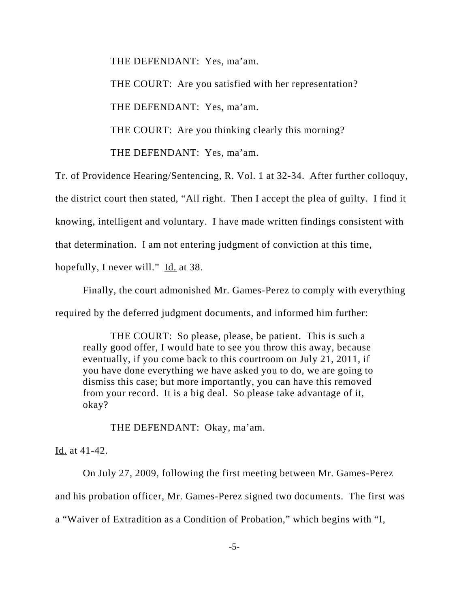THE DEFENDANT: Yes, ma'am.

THE COURT: Are you satisfied with her representation?

THE DEFENDANT: Yes, ma'am.

THE COURT: Are you thinking clearly this morning?

THE DEFENDANT: Yes, ma'am.

Tr. of Providence Hearing/Sentencing, R. Vol. 1 at 32-34. After further colloquy,

the district court then stated, "All right. Then I accept the plea of guilty. I find it

knowing, intelligent and voluntary. I have made written findings consistent with

that determination. I am not entering judgment of conviction at this time,

hopefully, I never will." Id. at 38.

Finally, the court admonished Mr. Games-Perez to comply with everything required by the deferred judgment documents, and informed him further:

THE COURT: So please, please, be patient. This is such a really good offer, I would hate to see you throw this away, because eventually, if you come back to this courtroom on July 21, 2011, if you have done everything we have asked you to do, we are going to dismiss this case; but more importantly, you can have this removed from your record. It is a big deal. So please take advantage of it, okay?

THE DEFENDANT: Okay, ma'am.

Id. at 41-42.

On July 27, 2009, following the first meeting between Mr. Games-Perez and his probation officer, Mr. Games-Perez signed two documents. The first was a "Waiver of Extradition as a Condition of Probation," which begins with "I,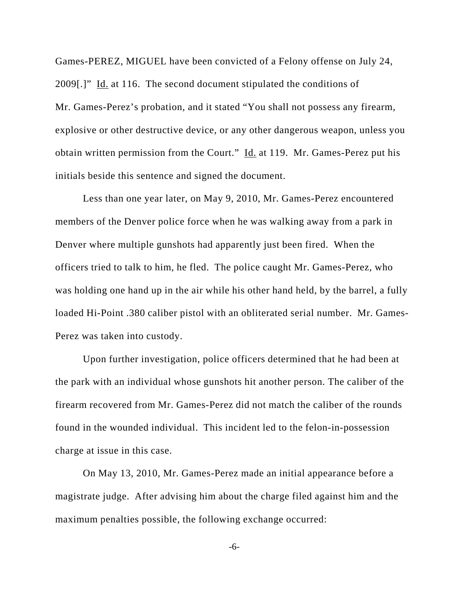Games-PEREZ, MIGUEL have been convicted of a Felony offense on July 24, 2009[.]" Id. at 116. The second document stipulated the conditions of Mr. Games-Perez's probation, and it stated "You shall not possess any firearm, explosive or other destructive device, or any other dangerous weapon, unless you obtain written permission from the Court." Id. at 119. Mr. Games-Perez put his initials beside this sentence and signed the document.

Less than one year later, on May 9, 2010, Mr. Games-Perez encountered members of the Denver police force when he was walking away from a park in Denver where multiple gunshots had apparently just been fired. When the officers tried to talk to him, he fled. The police caught Mr. Games-Perez, who was holding one hand up in the air while his other hand held, by the barrel, a fully loaded Hi-Point .380 caliber pistol with an obliterated serial number. Mr. Games-Perez was taken into custody.

Upon further investigation, police officers determined that he had been at the park with an individual whose gunshots hit another person. The caliber of the firearm recovered from Mr. Games-Perez did not match the caliber of the rounds found in the wounded individual. This incident led to the felon-in-possession charge at issue in this case.

On May 13, 2010, Mr. Games-Perez made an initial appearance before a magistrate judge. After advising him about the charge filed against him and the maximum penalties possible, the following exchange occurred:

-6-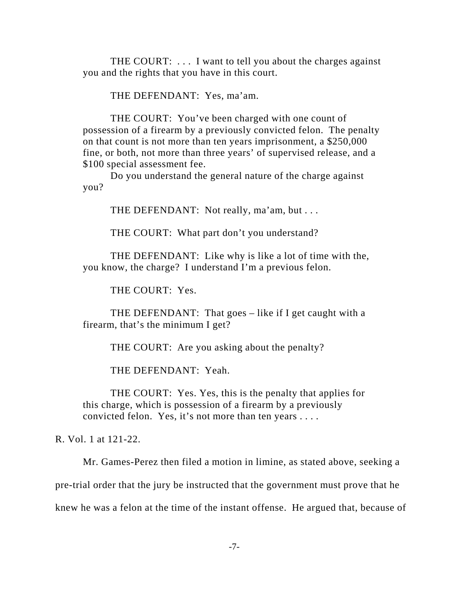THE COURT: . . . I want to tell you about the charges against you and the rights that you have in this court.

THE DEFENDANT: Yes, ma'am.

THE COURT: You've been charged with one count of possession of a firearm by a previously convicted felon. The penalty on that count is not more than ten years imprisonment, a \$250,000 fine, or both, not more than three years' of supervised release, and a \$100 special assessment fee.

Do you understand the general nature of the charge against you?

THE DEFENDANT: Not really, ma'am, but . . .

THE COURT: What part don't you understand?

THE DEFENDANT: Like why is like a lot of time with the, you know, the charge? I understand I'm a previous felon.

THE COURT: Yes.

THE DEFENDANT: That goes – like if I get caught with a firearm, that's the minimum I get?

THE COURT: Are you asking about the penalty?

THE DEFENDANT: Yeah.

THE COURT: Yes. Yes, this is the penalty that applies for this charge, which is possession of a firearm by a previously convicted felon. Yes, it's not more than ten years . . . .

R. Vol. 1 at 121-22.

Mr. Games-Perez then filed a motion in limine, as stated above, seeking a

pre-trial order that the jury be instructed that the government must prove that he

knew he was a felon at the time of the instant offense. He argued that, because of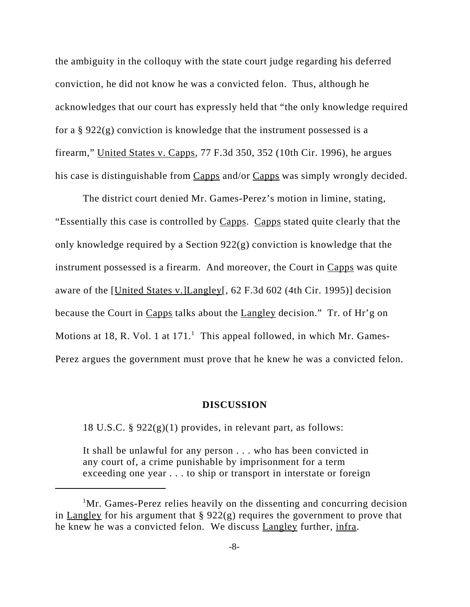the ambiguity in the colloquy with the state court judge regarding his deferred conviction, he did not know he was a convicted felon. Thus, although he acknowledges that our court has expressly held that "the only knowledge required for a § 922(g) conviction is knowledge that the instrument possessed is a firearm," United States v. Capps, 77 F.3d 350, 352 (10th Cir. 1996), he argues his case is distinguishable from Capps and/or Capps was simply wrongly decided.

The district court denied Mr. Games-Perez's motion in limine, stating, "Essentially this case is controlled by Capps. Capps stated quite clearly that the only knowledge required by a Section 922(g) conviction is knowledge that the instrument possessed is a firearm. And moreover, the Court in Capps was quite aware of the [United States v.]Langley[, 62 F.3d 602 (4th Cir. 1995)] decision because the Court in Capps talks about the Langley decision." Tr. of Hr'g on Motions at 18, R. Vol. 1 at  $171<sup>1</sup>$  This appeal followed, in which Mr. Games-Perez argues the government must prove that he knew he was a convicted felon.

#### **DISCUSSION**

18 U.S.C. § 922(g)(1) provides, in relevant part, as follows:

It shall be unlawful for any person . . . who has been convicted in any court of, a crime punishable by imprisonment for a term exceeding one year . . . to ship or transport in interstate or foreign

<sup>&</sup>lt;sup>1</sup>Mr. Games-Perez relies heavily on the dissenting and concurring decision in Langley for his argument that  $\S 922(g)$  requires the government to prove that he knew he was a convicted felon. We discuss Langley further, infra.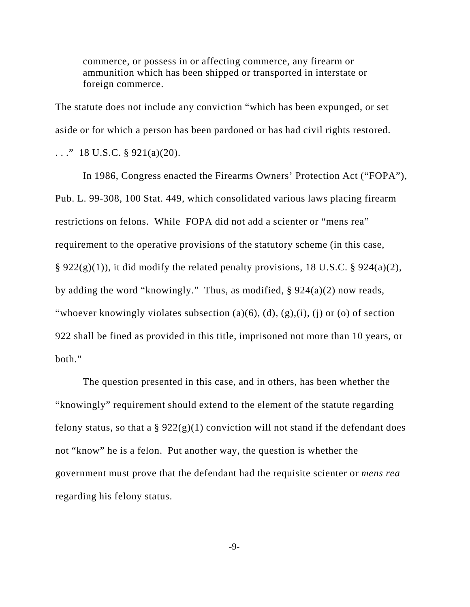commerce, or possess in or affecting commerce, any firearm or ammunition which has been shipped or transported in interstate or foreign commerce.

The statute does not include any conviction "which has been expunged, or set aside or for which a person has been pardoned or has had civil rights restored.  $\ldots$ ." 18 U.S.C. § 921(a)(20).

In 1986, Congress enacted the Firearms Owners' Protection Act ("FOPA"), Pub. L. 99-308, 100 Stat. 449, which consolidated various laws placing firearm restrictions on felons. While FOPA did not add a scienter or "mens rea" requirement to the operative provisions of the statutory scheme (in this case,  $\S 922(g)(1)$ , it did modify the related penalty provisions, 18 U.S.C.  $\S 924(a)(2)$ , by adding the word "knowingly." Thus, as modified, § 924(a)(2) now reads, "whoever knowingly violates subsection (a)(6), (d), (g),(i), (j) or (o) of section 922 shall be fined as provided in this title, imprisoned not more than 10 years, or both."

The question presented in this case, and in others, has been whether the "knowingly" requirement should extend to the element of the statute regarding felony status, so that a  $\S 922(g)(1)$  conviction will not stand if the defendant does not "know" he is a felon. Put another way, the question is whether the government must prove that the defendant had the requisite scienter or *mens rea* regarding his felony status.

-9-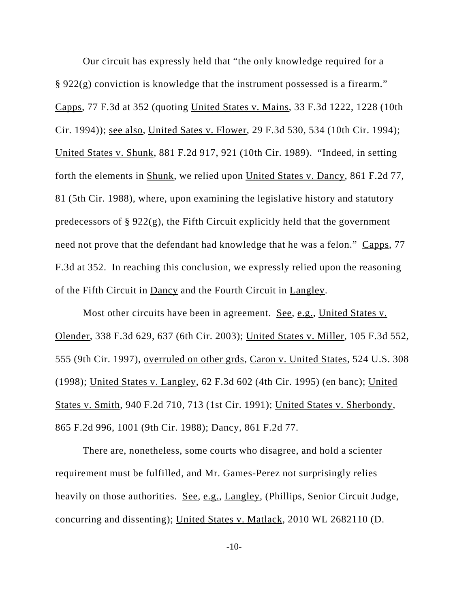Our circuit has expressly held that "the only knowledge required for a § 922(g) conviction is knowledge that the instrument possessed is a firearm." Capps, 77 F.3d at 352 (quoting United States v. Mains, 33 F.3d 1222, 1228 (10th Cir. 1994)); see also, United Sates v. Flower, 29 F.3d 530, 534 (10th Cir. 1994); United States v. Shunk, 881 F.2d 917, 921 (10th Cir. 1989). "Indeed, in setting forth the elements in Shunk, we relied upon United States v. Dancy, 861 F.2d 77, 81 (5th Cir. 1988), where, upon examining the legislative history and statutory predecessors of  $\S 922(g)$ , the Fifth Circuit explicitly held that the government need not prove that the defendant had knowledge that he was a felon." Capps, 77 F.3d at 352. In reaching this conclusion, we expressly relied upon the reasoning of the Fifth Circuit in Dancy and the Fourth Circuit in Langley.

Most other circuits have been in agreement. See, e.g., United States v. Olender, 338 F.3d 629, 637 (6th Cir. 2003); United States v. Miller, 105 F.3d 552, 555 (9th Cir. 1997), overruled on other grds, Caron v. United States, 524 U.S. 308 (1998); United States v. Langley, 62 F.3d 602 (4th Cir. 1995) (en banc); United States v. Smith, 940 F.2d 710, 713 (1st Cir. 1991); United States v. Sherbondy, 865 F.2d 996, 1001 (9th Cir. 1988); Dancy, 861 F.2d 77.

There are, nonetheless, some courts who disagree, and hold a scienter requirement must be fulfilled, and Mr. Games-Perez not surprisingly relies heavily on those authorities. <u>See, e.g., Langley</u>, (Phillips, Senior Circuit Judge, concurring and dissenting); United States v. Matlack, 2010 WL 2682110 (D.

-10-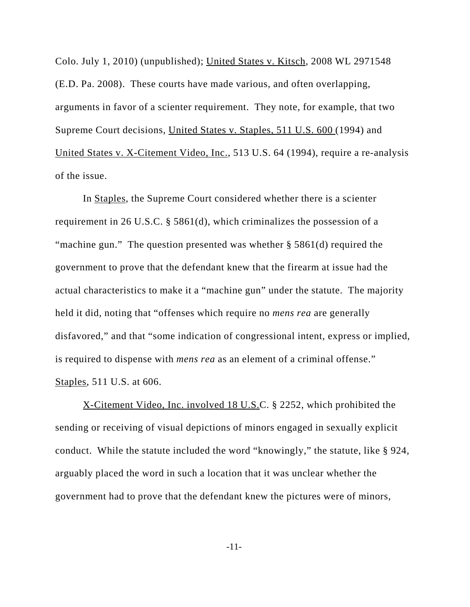Colo. July 1, 2010) (unpublished); United States v. Kitsch, 2008 WL 2971548 (E.D. Pa. 2008). These courts have made various, and often overlapping, arguments in favor of a scienter requirement. They note, for example, that two Supreme Court decisions, United States v. Staples, 511 U.S. 600 (1994) and United States v. X-Citement Video, Inc., 513 U.S. 64 (1994), require a re-analysis of the issue.

In Staples, the Supreme Court considered whether there is a scienter requirement in 26 U.S.C. § 5861(d), which criminalizes the possession of a "machine gun." The question presented was whether § 5861(d) required the government to prove that the defendant knew that the firearm at issue had the actual characteristics to make it a "machine gun" under the statute. The majority held it did, noting that "offenses which require no *mens rea* are generally disfavored," and that "some indication of congressional intent, express or implied, is required to dispense with *mens rea* as an element of a criminal offense." Staples, 511 U.S. at 606.

X-Citement Video, Inc. involved 18 U.S.C. § 2252, which prohibited the sending or receiving of visual depictions of minors engaged in sexually explicit conduct. While the statute included the word "knowingly," the statute, like § 924, arguably placed the word in such a location that it was unclear whether the government had to prove that the defendant knew the pictures were of minors,

-11-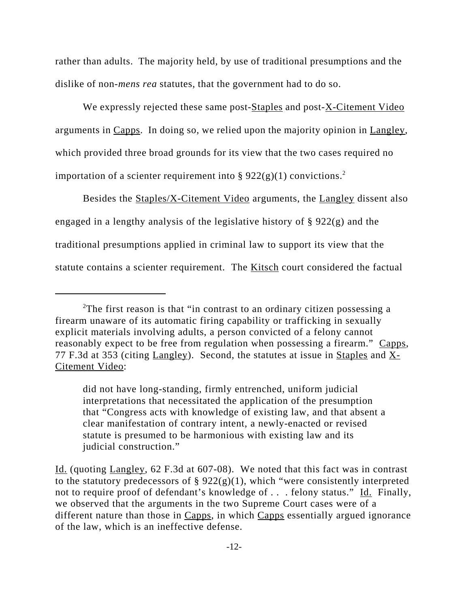rather than adults. The majority held, by use of traditional presumptions and the dislike of non-*mens rea* statutes, that the government had to do so.

We expressly rejected these same post-Staples and post-X-Citement Video arguments in Capps. In doing so, we relied upon the majority opinion in  $\text{Langley}$ , which provided three broad grounds for its view that the two cases required no importation of a scienter requirement into §  $922(g)(1)$  convictions.<sup>2</sup>

Besides the Staples/X-Citement Video arguments, the Langley dissent also engaged in a lengthy analysis of the legislative history of § 922(g) and the traditional presumptions applied in criminal law to support its view that the statute contains a scienter requirement. The Kitsch court considered the factual

<sup>&</sup>lt;sup>2</sup>The first reason is that "in contrast to an ordinary citizen possessing a firearm unaware of its automatic firing capability or trafficking in sexually explicit materials involving adults, a person convicted of a felony cannot reasonably expect to be free from regulation when possessing a firearm." Capps, 77 F.3d at 353 (citing Langley). Second, the statutes at issue in Staples and X-Citement Video:

did not have long-standing, firmly entrenched, uniform judicial interpretations that necessitated the application of the presumption that "Congress acts with knowledge of existing law, and that absent a clear manifestation of contrary intent, a newly-enacted or revised statute is presumed to be harmonious with existing law and its judicial construction."

Id. (quoting Langley, 62 F.3d at 607-08). We noted that this fact was in contrast to the statutory predecessors of  $\S 922(g)(1)$ , which "were consistently interpreted not to require proof of defendant's knowledge of . . . felony status." Id. Finally, we observed that the arguments in the two Supreme Court cases were of a different nature than those in Capps, in which Capps essentially argued ignorance of the law, which is an ineffective defense.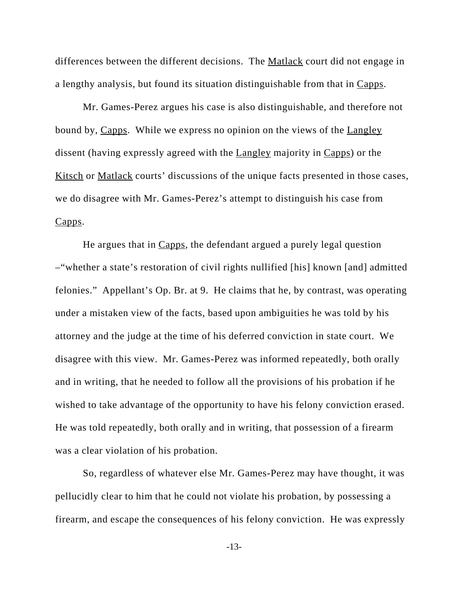differences between the different decisions. The Matlack court did not engage in a lengthy analysis, but found its situation distinguishable from that in Capps.

Mr. Games-Perez argues his case is also distinguishable, and therefore not bound by, Capps. While we express no opinion on the views of the Langley dissent (having expressly agreed with the Langley majority in Capps) or the Kitsch or Matlack courts' discussions of the unique facts presented in those cases, we do disagree with Mr. Games-Perez's attempt to distinguish his case from Capps.

He argues that in Capps, the defendant argued a purely legal question –"whether a state's restoration of civil rights nullified [his] known [and] admitted felonies." Appellant's Op. Br. at 9. He claims that he, by contrast, was operating under a mistaken view of the facts, based upon ambiguities he was told by his attorney and the judge at the time of his deferred conviction in state court. We disagree with this view. Mr. Games-Perez was informed repeatedly, both orally and in writing, that he needed to follow all the provisions of his probation if he wished to take advantage of the opportunity to have his felony conviction erased. He was told repeatedly, both orally and in writing, that possession of a firearm was a clear violation of his probation.

So, regardless of whatever else Mr. Games-Perez may have thought, it was pellucidly clear to him that he could not violate his probation, by possessing a firearm, and escape the consequences of his felony conviction. He was expressly

-13-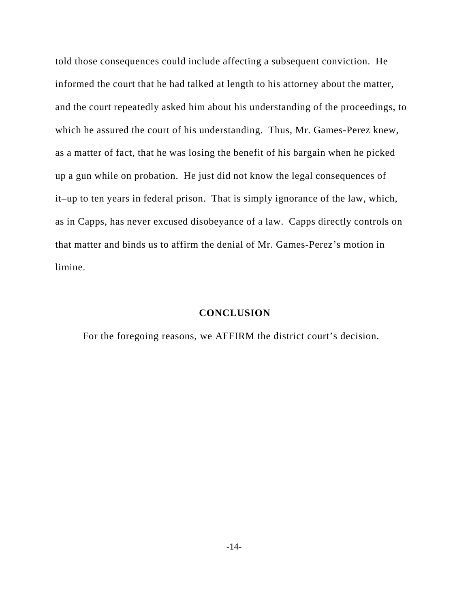told those consequences could include affecting a subsequent conviction. He informed the court that he had talked at length to his attorney about the matter, and the court repeatedly asked him about his understanding of the proceedings, to which he assured the court of his understanding. Thus, Mr. Games-Perez knew, as a matter of fact, that he was losing the benefit of his bargain when he picked up a gun while on probation. He just did not know the legal consequences of it–up to ten years in federal prison. That is simply ignorance of the law, which, as in Capps, has never excused disobeyance of a law. Capps directly controls on that matter and binds us to affirm the denial of Mr. Games-Perez's motion in limine.

## **CONCLUSION**

For the foregoing reasons, we AFFIRM the district court's decision.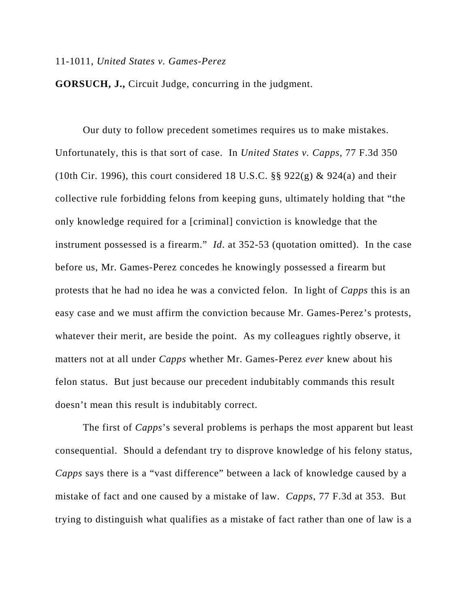## 11-1011, *United States v. Games-Perez*

**GORSUCH, J.,** Circuit Judge, concurring in the judgment.

Our duty to follow precedent sometimes requires us to make mistakes. Unfortunately, this is that sort of case. In *United States v. Capps*, 77 F.3d 350 (10th Cir. 1996), this court considered 18 U.S.C.  $\S$ § 922(g) & 924(a) and their collective rule forbidding felons from keeping guns, ultimately holding that "the only knowledge required for a [criminal] conviction is knowledge that the instrument possessed is a firearm." *Id*. at 352-53 (quotation omitted). In the case before us, Mr. Games-Perez concedes he knowingly possessed a firearm but protests that he had no idea he was a convicted felon. In light of *Capps* this is an easy case and we must affirm the conviction because Mr. Games-Perez's protests, whatever their merit, are beside the point. As my colleagues rightly observe, it matters not at all under *Capps* whether Mr. Games-Perez *ever* knew about his felon status. But just because our precedent indubitably commands this result doesn't mean this result is indubitably correct.

The first of *Capps*'s several problems is perhaps the most apparent but least consequential. Should a defendant try to disprove knowledge of his felony status, *Capps* says there is a "vast difference" between a lack of knowledge caused by a mistake of fact and one caused by a mistake of law. *Capps*, 77 F.3d at 353. But trying to distinguish what qualifies as a mistake of fact rather than one of law is a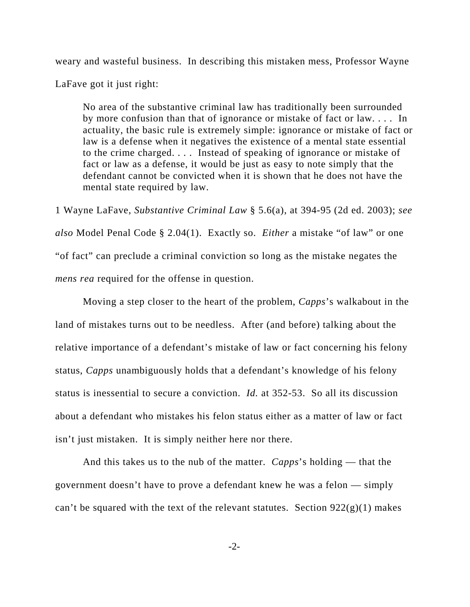weary and wasteful business. In describing this mistaken mess, Professor Wayne

LaFave got it just right:

No area of the substantive criminal law has traditionally been surrounded by more confusion than that of ignorance or mistake of fact or law. . . . In actuality, the basic rule is extremely simple: ignorance or mistake of fact or law is a defense when it negatives the existence of a mental state essential to the crime charged. . . . Instead of speaking of ignorance or mistake of fact or law as a defense, it would be just as easy to note simply that the defendant cannot be convicted when it is shown that he does not have the mental state required by law.

1 Wayne LaFave, *Substantive Criminal Law* § 5.6(a), at 394-95 (2d ed. 2003); *see also* Model Penal Code § 2.04(1). Exactly so. *Either* a mistake "of law" or one "of fact" can preclude a criminal conviction so long as the mistake negates the *mens rea* required for the offense in question.

Moving a step closer to the heart of the problem, *Capps*'s walkabout in the land of mistakes turns out to be needless. After (and before) talking about the relative importance of a defendant's mistake of law or fact concerning his felony status, *Capps* unambiguously holds that a defendant's knowledge of his felony status is inessential to secure a conviction. *Id.* at 352-53. So all its discussion about a defendant who mistakes his felon status either as a matter of law or fact isn't just mistaken. It is simply neither here nor there.

And this takes us to the nub of the matter. *Capps*'s holding — that the government doesn't have to prove a defendant knew he was a felon — simply can't be squared with the text of the relevant statutes. Section  $922(g)(1)$  makes

 $-2$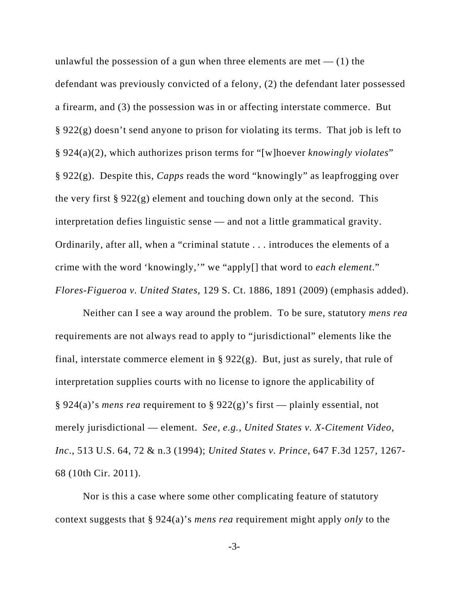unlawful the possession of a gun when three elements are met  $-$  (1) the defendant was previously convicted of a felony, (2) the defendant later possessed a firearm, and (3) the possession was in or affecting interstate commerce. But § 922(g) doesn't send anyone to prison for violating its terms. That job is left to § 924(a)(2), which authorizes prison terms for "[w]hoever *knowingly violates*" § 922(g). Despite this, *Capps* reads the word "knowingly" as leapfrogging over the very first  $\S 922(g)$  element and touching down only at the second. This interpretation defies linguistic sense — and not a little grammatical gravity. Ordinarily, after all, when a "criminal statute . . . introduces the elements of a crime with the word 'knowingly,'" we "apply[] that word to *each element*." *Flores-Figueroa v. United States*, 129 S. Ct. 1886, 1891 (2009) (emphasis added).

Neither can I see a way around the problem. To be sure, statutory *mens rea* requirements are not always read to apply to "jurisdictional" elements like the final, interstate commerce element in §  $922(g)$ . But, just as surely, that rule of interpretation supplies courts with no license to ignore the applicability of § 924(a)'s *mens rea* requirement to § 922(g)'s first — plainly essential, not merely jurisdictional — element. *See, e.g.*, *United States v. X-Citement Video, Inc*., 513 U.S. 64, 72 & n.3 (1994); *United States v. Prince*, 647 F.3d 1257, 1267- 68 (10th Cir. 2011).

Nor is this a case where some other complicating feature of statutory context suggests that § 924(a)'s *mens rea* requirement might apply *only* to the

-3-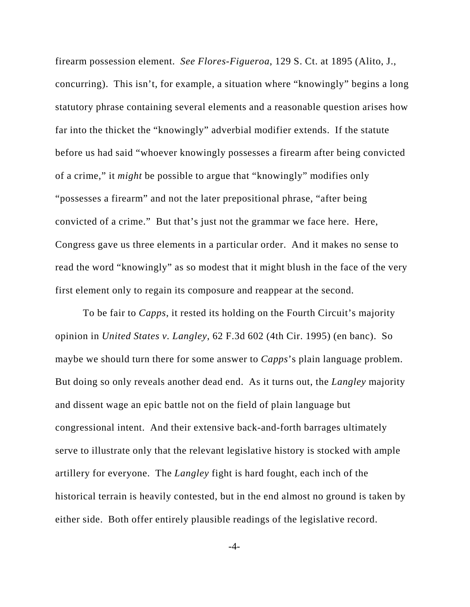firearm possession element. *See Flores-Figueroa*, 129 S. Ct. at 1895 (Alito, J., concurring). This isn't, for example, a situation where "knowingly" begins a long statutory phrase containing several elements and a reasonable question arises how far into the thicket the "knowingly" adverbial modifier extends. If the statute before us had said "whoever knowingly possesses a firearm after being convicted of a crime," it *might* be possible to argue that "knowingly" modifies only "possesses a firearm" and not the later prepositional phrase, "after being convicted of a crime." But that's just not the grammar we face here. Here, Congress gave us three elements in a particular order. And it makes no sense to read the word "knowingly" as so modest that it might blush in the face of the very first element only to regain its composure and reappear at the second.

To be fair to *Capps*, it rested its holding on the Fourth Circuit's majority opinion in *United States v. Langley*, 62 F.3d 602 (4th Cir. 1995) (en banc). So maybe we should turn there for some answer to *Capps*'s plain language problem. But doing so only reveals another dead end. As it turns out, the *Langley* majority and dissent wage an epic battle not on the field of plain language but congressional intent. And their extensive back-and-forth barrages ultimately serve to illustrate only that the relevant legislative history is stocked with ample artillery for everyone. The *Langley* fight is hard fought, each inch of the historical terrain is heavily contested, but in the end almost no ground is taken by either side. Both offer entirely plausible readings of the legislative record.

-4-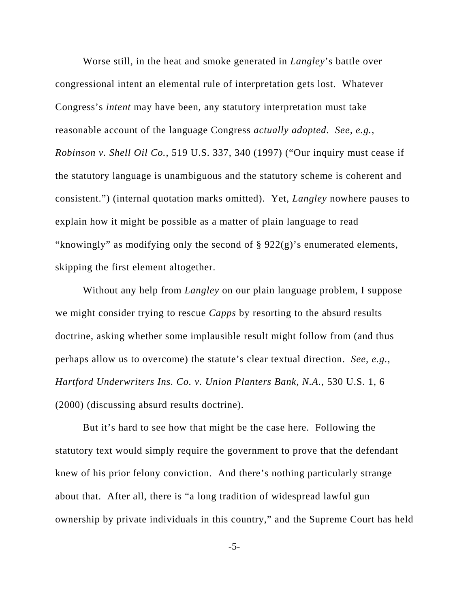Worse still, in the heat and smoke generated in *Langley*'s battle over congressional intent an elemental rule of interpretation gets lost. Whatever Congress's *intent* may have been, any statutory interpretation must take reasonable account of the language Congress *actually adopted*. *See, e.g.*, *Robinson v. Shell Oil Co.*, 519 U.S. 337, 340 (1997) ("Our inquiry must cease if the statutory language is unambiguous and the statutory scheme is coherent and consistent.") (internal quotation marks omitted). Yet, *Langley* nowhere pauses to explain how it might be possible as a matter of plain language to read "knowingly" as modifying only the second of  $\S 922(g)$ 's enumerated elements, skipping the first element altogether.

Without any help from *Langley* on our plain language problem, I suppose we might consider trying to rescue *Capps* by resorting to the absurd results doctrine, asking whether some implausible result might follow from (and thus perhaps allow us to overcome) the statute's clear textual direction. *See, e.g.*, *Hartford Underwriters Ins. Co. v. Union Planters Bank, N.A.*, 530 U.S. 1, 6 (2000) (discussing absurd results doctrine).

But it's hard to see how that might be the case here. Following the statutory text would simply require the government to prove that the defendant knew of his prior felony conviction. And there's nothing particularly strange about that. After all, there is "a long tradition of widespread lawful gun ownership by private individuals in this country," and the Supreme Court has held

-5-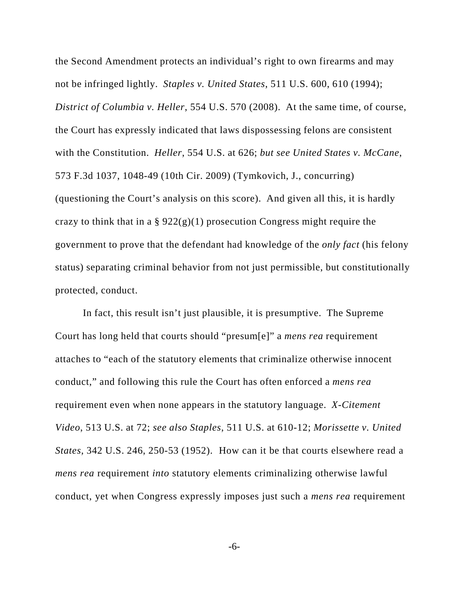the Second Amendment protects an individual's right to own firearms and may not be infringed lightly. *Staples v. United States*, 511 U.S. 600, 610 (1994); *District of Columbia v. Heller*, 554 U.S. 570 (2008). At the same time, of course, the Court has expressly indicated that laws dispossessing felons are consistent with the Constitution. *Heller*, 554 U.S. at 626; *but see United States v. McCane*, 573 F.3d 1037, 1048-49 (10th Cir. 2009) (Tymkovich, J., concurring) (questioning the Court's analysis on this score). And given all this, it is hardly crazy to think that in a  $\S 922(g)(1)$  prosecution Congress might require the government to prove that the defendant had knowledge of the *only fact* (his felony status) separating criminal behavior from not just permissible, but constitutionally protected, conduct.

In fact, this result isn't just plausible, it is presumptive. The Supreme Court has long held that courts should "presum[e]" a *mens rea* requirement attaches to "each of the statutory elements that criminalize otherwise innocent conduct," and following this rule the Court has often enforced a *mens rea* requirement even when none appears in the statutory language. *X-Citement Video*, 513 U.S. at 72; *see also Staples*, 511 U.S. at 610-12; *Morissette v. United States*, 342 U.S. 246, 250-53 (1952). How can it be that courts elsewhere read a *mens rea* requirement *into* statutory elements criminalizing otherwise lawful conduct, yet when Congress expressly imposes just such a *mens rea* requirement

-6-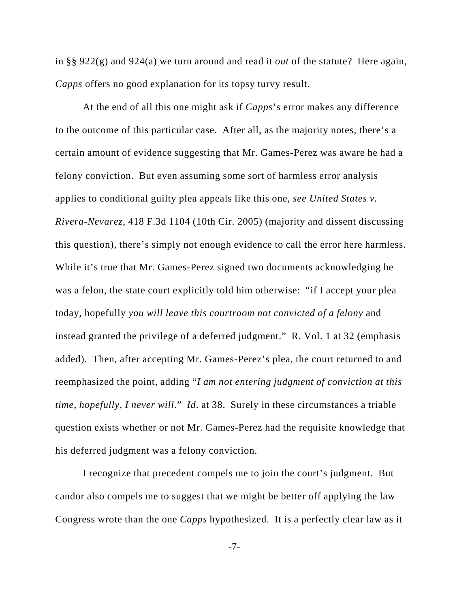in §§ 922(g) and 924(a) we turn around and read it *out* of the statute? Here again, *Capps* offers no good explanation for its topsy turvy result.

At the end of all this one might ask if *Capps*'s error makes any difference to the outcome of this particular case. After all, as the majority notes, there's a certain amount of evidence suggesting that Mr. Games-Perez was aware he had a felony conviction. But even assuming some sort of harmless error analysis applies to conditional guilty plea appeals like this one, *see United States v. Rivera-Nevarez*, 418 F.3d 1104 (10th Cir. 2005) (majority and dissent discussing this question), there's simply not enough evidence to call the error here harmless. While it's true that Mr. Games-Perez signed two documents acknowledging he was a felon, the state court explicitly told him otherwise: "if I accept your plea today, hopefully *you will leave this courtroom not convicted of a felony* and instead granted the privilege of a deferred judgment." R. Vol. 1 at 32 (emphasis added). Then, after accepting Mr. Games-Perez's plea, the court returned to and reemphasized the point, adding "*I am not entering judgment of conviction at this time, hopefully, I never will*." *Id*. at 38. Surely in these circumstances a triable question exists whether or not Mr. Games-Perez had the requisite knowledge that his deferred judgment was a felony conviction.

I recognize that precedent compels me to join the court's judgment. But candor also compels me to suggest that we might be better off applying the law Congress wrote than the one *Capps* hypothesized. It is a perfectly clear law as it

-7-